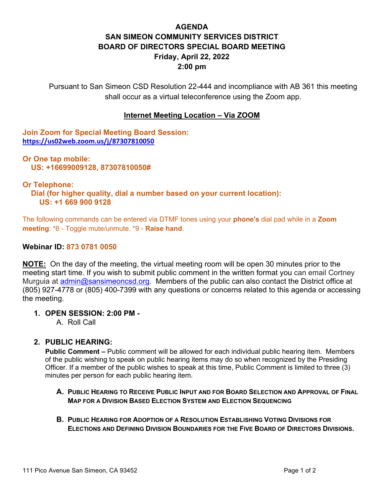# **AGENDA SAN SIMEON COMMUNITY SERVICES DISTRICT BOARD OF DIRECTORS SPECIAL BOARD MEETING Friday, April 22, 2022 2:00 pm**

Pursuant to San Simeon CSD Resolution 22-444 and incompliance with AB 361 this meeting shall occur as a virtual teleconference using the Zoom app.

## **Internet Meeting Location – Via ZOOM**

**Join Zoom for Special Meeting Board Session: <https://us02web.zoom.us/j/87307810050>**

**Or One tap mobile: US: +16699009128, 87307810050#** 

#### **Or Telephone:**

 **Dial (for higher quality, dial a number based on your current location): US: +1 669 900 9128** 

The following commands can be entered via DTMF tones using your **phone's** dial pad while in a **Zoom meeting**: \*6 - Toggle mute/unmute. \*9 - **Raise hand**.

#### **Webinar ID: 873 0781 0050**

**NOTE:** On the day of the meeting, the virtual meeting room will be open 30 minutes prior to the meeting start time. If you wish to submit public comment in the written format you can email Cortney Murguia at [admin@sansimeoncsd.org.](mailto:admin@sansimeoncsd.org) Members of the public can also contact the District office at (805) 927-4778 or (805) 400-7399 with any questions or concerns related to this agenda or accessing the meeting.

### **1. OPEN SESSION: 2:00 PM -**

A. Roll Call

### **2. PUBLIC HEARING:**

**Public Comment –** Public comment will be allowed for each individual public hearing item. Members of the public wishing to speak on public hearing items may do so when recognized by the Presiding Officer. If a member of the public wishes to speak at this time, Public Comment is limited to three (3) minutes per person for each public hearing item.

- **A. PUBLIC HEARING TO RECEIVE PUBLIC INPUT AND FOR BOARD SELECTION AND APPROVAL OF FINAL MAP FOR A DIVISION BASED ELECTION SYSTEM AND ELECTION SEQUENCING**
- **B. PUBLIC HEARING FOR ADOPTION OF A RESOLUTION ESTABLISHING VOTING DIVISIONS FOR ELECTIONS AND DEFINING DIVISION BOUNDARIES FOR THE FIVE BOARD OF DIRECTORS DIVISIONS.**